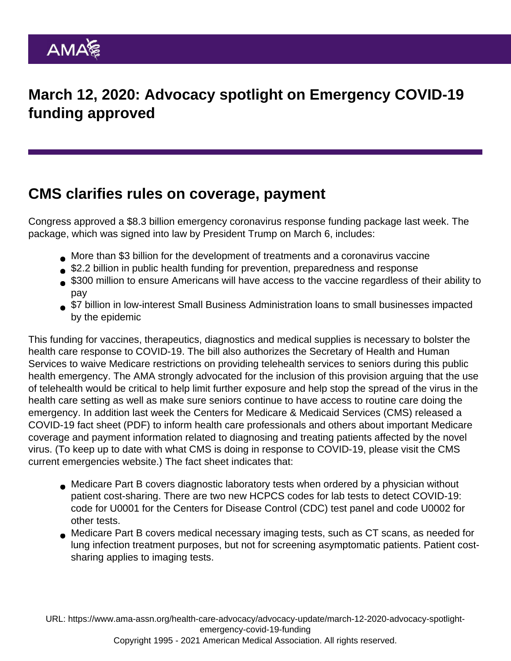## March 12, 2020: Advocacy spotlight on Emergency COVID-19 funding approved

## CMS clarifies rules on coverage, payment

Congress approved a \$8.3 billion emergency coronavirus response funding package last week. The package, which was signed into law by President Trump on March 6, includes:

- More than \$3 billion for the development of treatments and a coronavirus vaccine
- **\$2.2 billion in public health funding for prevention, preparedness and response**
- \$300 million to ensure Americans will have access to the vaccine regardless of their ability to pay
- **\$7 billion in low-interest Small Business Administration loans to small businesses impacted** by the epidemic

This funding for vaccines, therapeutics, diagnostics and medical supplies is necessary to bolster the health care response to COVID-19. The bill also authorizes the Secretary of Health and Human Services to waive Medicare restrictions on providing telehealth services to seniors during this public health emergency. The AMA [strongly advocated](https://searchlf.ama-assn.org/undefined/documentDownload?uri=/unstructured/binary/letter/LETTERS/2020-3-3-Letter-to-Congress-re-Appropriators-Supplemental-Emergency-Funding.pdf) for the inclusion of this provision arguing that the use of telehealth would be critical to help limit further exposure and help stop the spread of the virus in the health care setting as well as make sure seniors continue to have access to routine care doing the emergency. In addition last week the Centers for Medicare & Medicaid Services (CMS) released a [COVID-19 fact sheet](https://www.cms.gov/files/document/03052020-medicare-covid-19-fact-sheet.pdf) (PDF) to inform health care professionals and others about important Medicare coverage and payment information related to diagnosing and treating patients affected by the novel virus. (To keep up to date with what CMS is doing in response to COVID-19, please visit the [CMS](https://www.cms.gov/About-CMS/Agency-Information/Emergency/EPRO/Current-Emergencies/Current-Emergencies-page) [current emergencies website](https://www.cms.gov/About-CMS/Agency-Information/Emergency/EPRO/Current-Emergencies/Current-Emergencies-page).) The fact sheet indicates that:

- Medicare Part B covers diagnostic laboratory tests when ordered by a physician without patient cost-sharing. There are two new HCPCS codes for lab tests to detect COVID-19: code for U0001 for the Centers for Disease Control (CDC) test panel and code U0002 for other tests.
- Medicare Part B covers medical necessary imaging tests, such as CT scans, as needed for lung infection treatment purposes, but not for screening asymptomatic patients. Patient costsharing applies to imaging tests.

URL: [https://www.ama-assn.org/health-care-advocacy/advocacy-update/march-12-2020-advocacy-spotlight](https://www.ama-assn.org/health-care-advocacy/advocacy-update/march-12-2020-advocacy-spotlight-emergency-covid-19-funding)[emergency-covid-19-funding](https://www.ama-assn.org/health-care-advocacy/advocacy-update/march-12-2020-advocacy-spotlight-emergency-covid-19-funding) Copyright 1995 - 2021 American Medical Association. All rights reserved.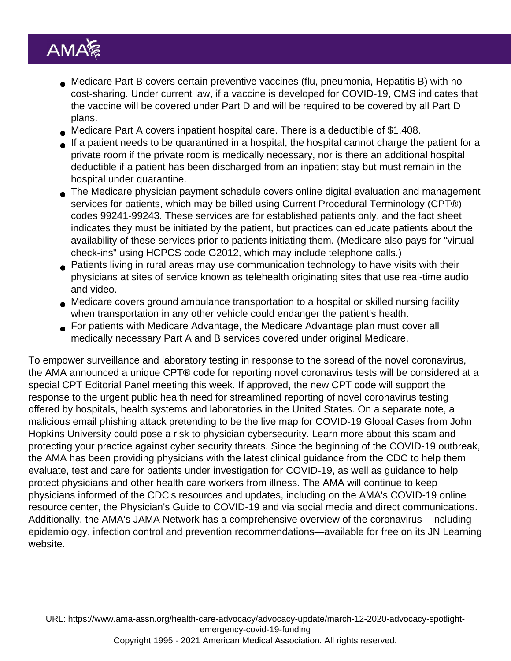- Medicare Part B covers certain preventive vaccines (flu, pneumonia, Hepatitis B) with no cost-sharing. Under current law, if a vaccine is developed for COVID-19, CMS indicates that the vaccine will be covered under Part D and will be required to be covered by all Part D plans.
- Medicare Part A covers inpatient hospital care. There is a deductible of \$1,408.
- If a patient needs to be quarantined in a hospital, the hospital cannot charge the patient for a private room if the private room is medically necessary, nor is there an additional hospital deductible if a patient has been discharged from an inpatient stay but must remain in the hospital under quarantine.
- The Medicare physician payment schedule covers online digital evaluation and management services for patients, which may be billed using Current Procedural Terminology (CPT®) codes 99241-99243. These services are for established patients only, and the fact sheet indicates they must be initiated by the patient, but practices can educate patients about the availability of these services prior to patients initiating them. (Medicare also pays for "virtual check-ins" using HCPCS code G2012, which may include telephone calls.)
- Patients living in rural areas may use communication technology to have visits with their physicians at sites of service known as telehealth originating sites that use real-time audio and video.
- Medicare covers ground ambulance transportation to a hospital or skilled nursing facility when transportation in any other vehicle could endanger the patient's health.
- For patients with Medicare Advantage, the Medicare Advantage plan must cover all medically necessary Part A and B services covered under original Medicare.

To empower surveillance and laboratory testing in response to the spread of the novel coronavirus, the AMA announced a unique [CPT®](https://www.ama-assn.org/press-center/press-releases/cpt-fast-tracking-code-development-novel-coronavirus-test) code for reporting novel coronavirus tests will be considered at a special CPT Editorial Panel meeting this week. If approved, the new CPT code will support the response to the urgent public health need for streamlined reporting of novel coronavirus testing offered by hospitals, health systems and laboratories in the United States. On a separate note, a malicious email phishing attack pretending to be the live map for COVID-19 Global Cases from John Hopkins University could pose a risk to physician cybersecurity. [Learn more](https://www.ama-assn.org/practice-management/sustainability/physician-cybersecurity) about this scam and protecting your practice against cyber security threats. Since the beginning of the COVID-19 outbreak, the AMA has been providing physicians with the latest clinical guidance from the CDC to help them evaluate, test and care for patients under investigation for COVID-19, as well as guidance to help protect physicians and other health care workers from illness. The AMA will continue to keep physicians informed of the CDC's resources and updates, including on the [AMA's COVID-19 online](https://www.ama-assn.org/delivering-care/public-health/covid-19-2019-novel-coronavirus-resource-center-physicians) [resource center](https://www.ama-assn.org/delivering-care/public-health/covid-19-2019-novel-coronavirus-resource-center-physicians), the [Physician's Guide to COVID-19](https://www.ama-assn.org/delivering-care/public-health/physicians-guide-covid-19) and via social media and direct communications. Additionally, the AMA's JAMA Network has a comprehensive overview of the coronavirus—including epidemiology, infection control and prevention recommendations—available for free on its [JN Learning](https://edhub.ama-assn.org/jn-learning/module/2759815) [website.](https://edhub.ama-assn.org/jn-learning/module/2759815)

URL: [https://www.ama-assn.org/health-care-advocacy/advocacy-update/march-12-2020-advocacy-spotlight](https://www.ama-assn.org/health-care-advocacy/advocacy-update/march-12-2020-advocacy-spotlight-emergency-covid-19-funding)[emergency-covid-19-funding](https://www.ama-assn.org/health-care-advocacy/advocacy-update/march-12-2020-advocacy-spotlight-emergency-covid-19-funding) Copyright 1995 - 2021 American Medical Association. All rights reserved.